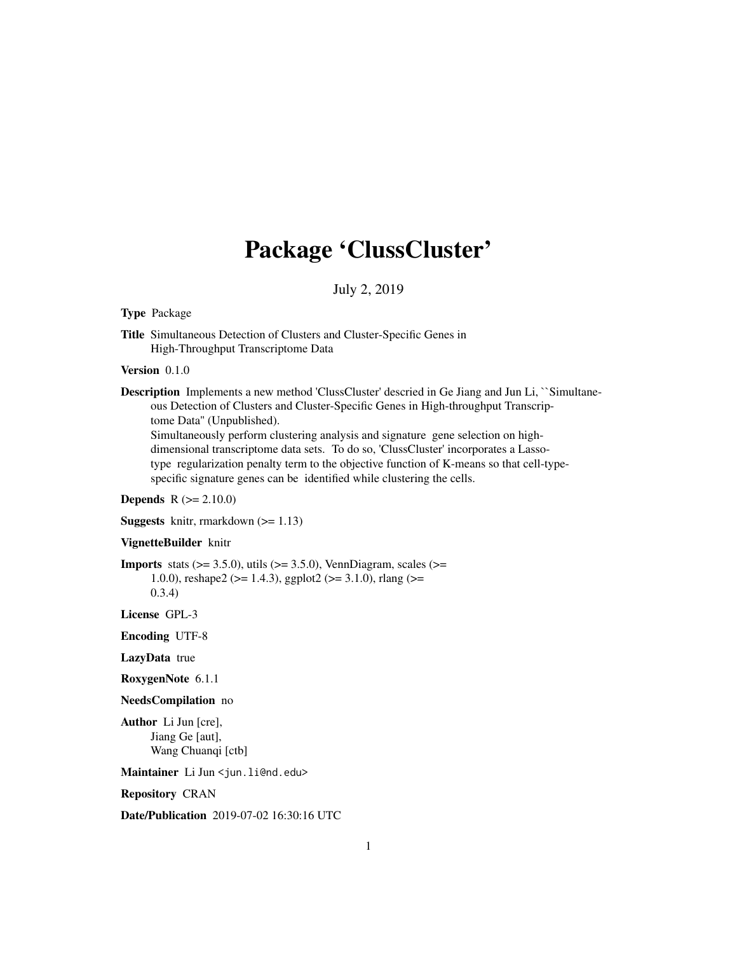## Package 'ClussCluster'

July 2, 2019

#### Type Package

Title Simultaneous Detection of Clusters and Cluster-Specific Genes in High-Throughput Transcriptome Data

#### Version 0.1.0

Description Implements a new method 'ClussCluster' descried in Ge Jiang and Jun Li, ``Simultaneous Detection of Clusters and Cluster-Specific Genes in High-throughput Transcriptome Data'' (Unpublished).

Simultaneously perform clustering analysis and signature gene selection on highdimensional transcriptome data sets. To do so, 'ClussCluster' incorporates a Lassotype regularization penalty term to the objective function of K-means so that cell-typespecific signature genes can be identified while clustering the cells.

#### **Depends**  $R (= 2.10.0)$

**Suggests** knitr, rmarkdown  $(>= 1.13)$ 

#### VignetteBuilder knitr

**Imports** stats  $(>= 3.5.0)$ , utils  $(>= 3.5.0)$ , VennDiagram, scales  $(>=$ 1.0.0), reshape2 ( $> = 1.4.3$ ), ggplot2 ( $> = 3.1.0$ ), rlang ( $> =$ 0.3.4)

License GPL-3

Encoding UTF-8

LazyData true

RoxygenNote 6.1.1

#### NeedsCompilation no

Author Li Jun [cre], Jiang Ge [aut], Wang Chuanqi [ctb]

Maintainer Li Jun <jun.li@nd.edu>

Repository CRAN

Date/Publication 2019-07-02 16:30:16 UTC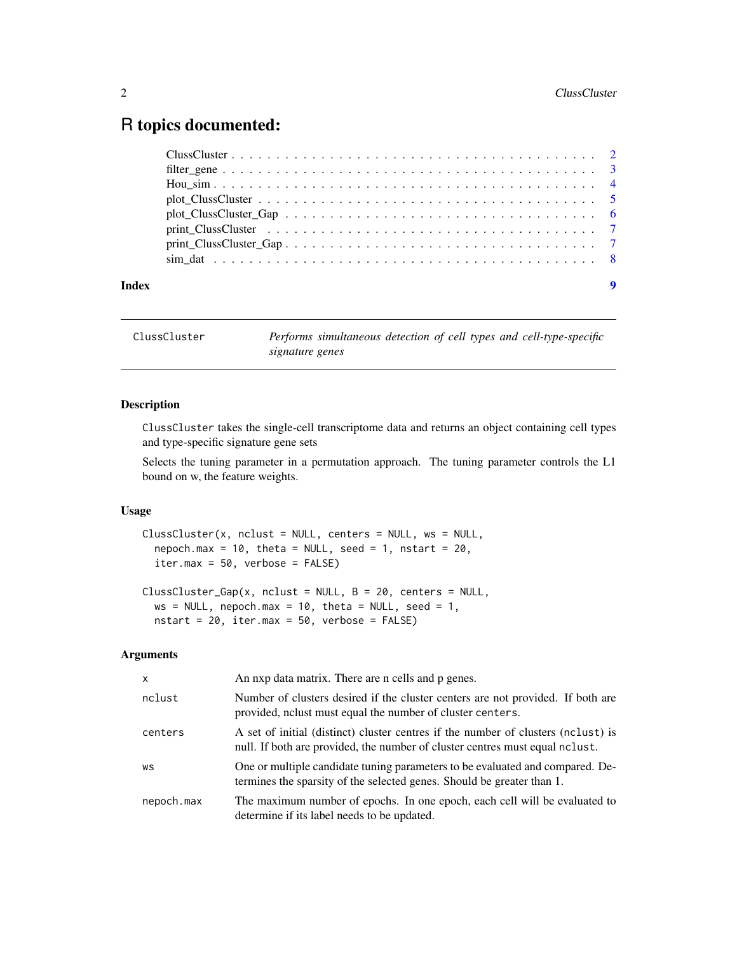### <span id="page-1-0"></span>R topics documented:

| Index | $\boldsymbol{9}$ |
|-------|------------------|

ClussCluster *Performs simultaneous detection of cell types and cell-type-specific signature genes*

#### Description

ClussCluster takes the single-cell transcriptome data and returns an object containing cell types and type-specific signature gene sets

Selects the tuning parameter in a permutation approach. The tuning parameter controls the L1 bound on w, the feature weights.

#### Usage

```
ClussCluster(x, nclust = NULL, centers = NULL, ws = NULL,
  nepoch.max = 10, theta = NULL, seed = 1, nstart = 20,
  iter.max = 50, verbose = FALSE)
```

```
ClussCluster_Gap(x, nclust = NULL, B = 20, centers = NULL,
 ws = NULL, nepoch.max = 10, theta = NULL, seed = 1,
 nstart = 20, iter.max = 50, verbose = FALSE)
```
#### Arguments

| $\mathsf{x}$ | An nxp data matrix. There are n cells and p genes.                                                                                                                      |
|--------------|-------------------------------------------------------------------------------------------------------------------------------------------------------------------------|
| nclust       | Number of clusters desired if the cluster centers are not provided. If both are<br>provided, no hust must equal the number of cluster centers.                          |
| centers      | A set of initial (distinct) cluster centres if the number of clusters (nclust) is<br>null. If both are provided, the number of cluster centres must equal not negative. |
| WS           | One or multiple candidate tuning parameters to be evaluated and compared. De-<br>termines the sparsity of the selected genes. Should be greater than 1.                 |
| nepoch.max   | The maximum number of epochs. In one epoch, each cell will be evaluated to<br>determine if its label needs to be updated.                                               |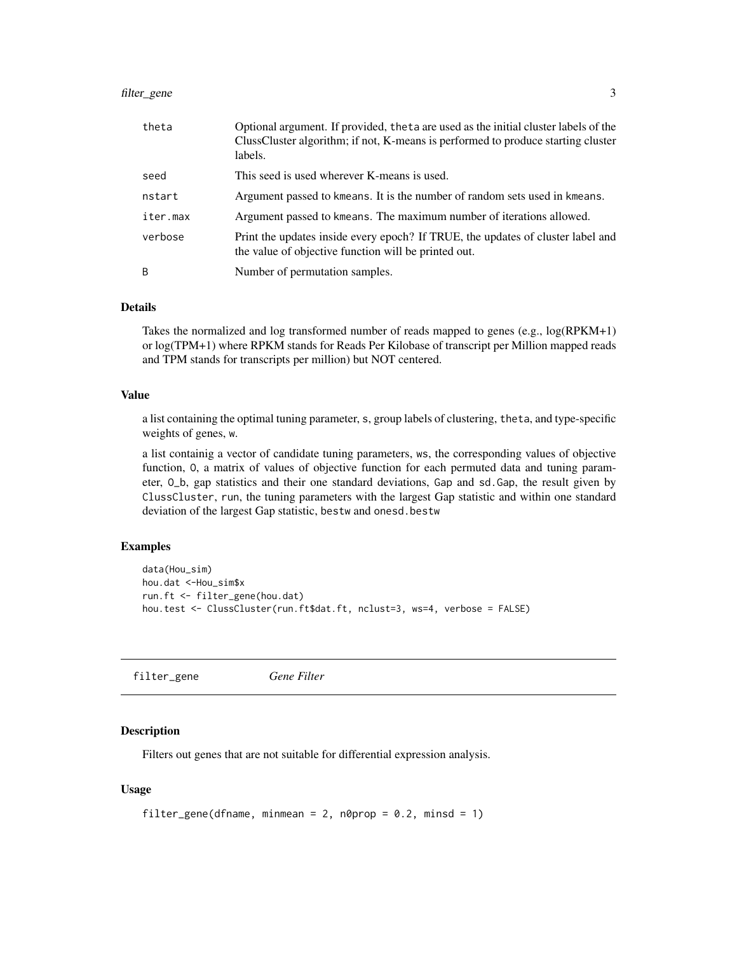#### <span id="page-2-0"></span>filter\_gene 3

| theta    | Optional argument. If provided, the ta are used as the initial cluster labels of the<br>ClussCluster algorithm; if not, K-means is performed to produce starting cluster<br>labels. |
|----------|-------------------------------------------------------------------------------------------------------------------------------------------------------------------------------------|
| seed     | This seed is used wherever K-means is used.                                                                                                                                         |
| nstart   | Argument passed to kmeans. It is the number of random sets used in kmeans.                                                                                                          |
| iter.max | Argument passed to kmeans. The maximum number of iterations allowed.                                                                                                                |
| verbose  | Print the updates inside every epoch? If TRUE, the updates of cluster label and<br>the value of objective function will be printed out.                                             |
| B        | Number of permutation samples.                                                                                                                                                      |

#### Details

Takes the normalized and log transformed number of reads mapped to genes (e.g., log(RPKM+1) or log(TPM+1) where RPKM stands for Reads Per Kilobase of transcript per Million mapped reads and TPM stands for transcripts per million) but NOT centered.

#### Value

a list containing the optimal tuning parameter, s, group labels of clustering, theta, and type-specific weights of genes, w.

a list containig a vector of candidate tuning parameters, ws, the corresponding values of objective function, O, a matrix of values of objective function for each permuted data and tuning parameter, O\_b, gap statistics and their one standard deviations, Gap and sd.Gap, the result given by ClussCluster, run, the tuning parameters with the largest Gap statistic and within one standard deviation of the largest Gap statistic, bestw and onesd.bestw

#### Examples

```
data(Hou_sim)
hou.dat <-Hou_sim$x
run.ft <- filter_gene(hou.dat)
hou.test <- ClussCluster(run.ft$dat.ft, nclust=3, ws=4, verbose = FALSE)
```
filter\_gene *Gene Filter*

#### **Description**

Filters out genes that are not suitable for differential expression analysis.

#### Usage

```
filter_gene(dfname, minmean = 2, n0prop = 0.2, minsd = 1)
```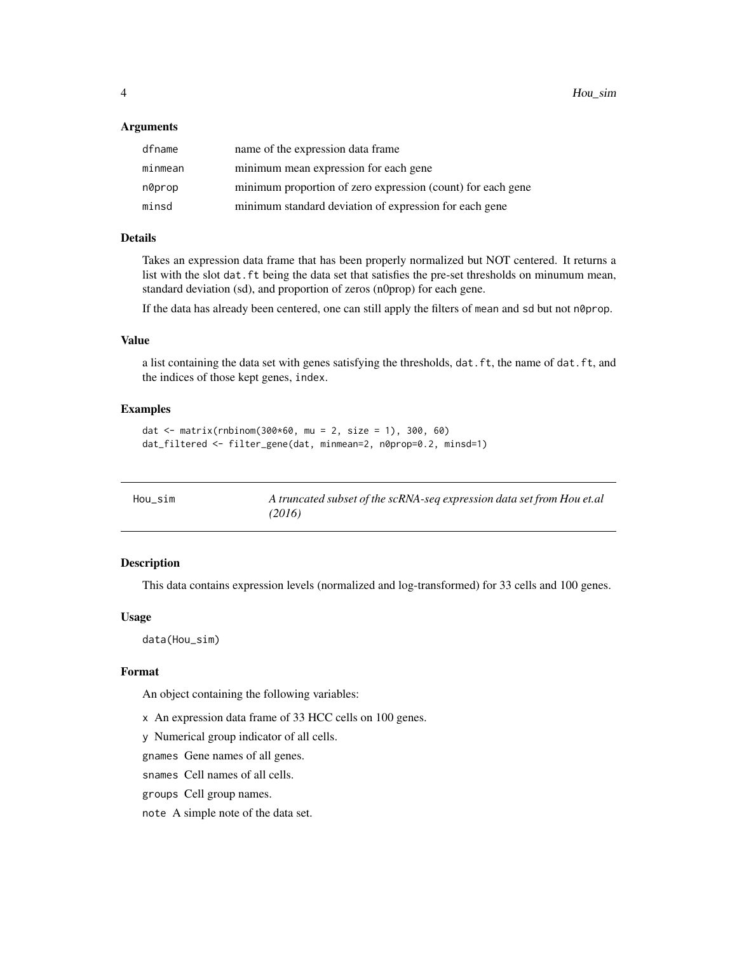#### <span id="page-3-0"></span>**Arguments**

| dfname  | name of the expression data frame                           |
|---------|-------------------------------------------------------------|
| minmean | minimum mean expression for each gene                       |
| n0prop  | minimum proportion of zero expression (count) for each gene |
| minsd   | minimum standard deviation of expression for each gene      |

#### Details

Takes an expression data frame that has been properly normalized but NOT centered. It returns a list with the slot dat. ft being the data set that satisfies the pre-set thresholds on minumum mean, standard deviation (sd), and proportion of zeros (n0prop) for each gene.

If the data has already been centered, one can still apply the filters of mean and sd but not n0prop.

#### Value

a list containing the data set with genes satisfying the thresholds, dat.ft, the name of dat.ft, and the indices of those kept genes, index.

#### Examples

```
dat <- matrix(rnbinom(300*60, mu = 2, size = 1), 300, 60)
dat_filtered <- filter_gene(dat, minmean=2, n0prop=0.2, minsd=1)
```

| Hou sim | A truncated subset of the scRNA-seq expression data set from Hou et.al |
|---------|------------------------------------------------------------------------|
|         | (2016)                                                                 |

#### Description

This data contains expression levels (normalized and log-transformed) for 33 cells and 100 genes.

#### Usage

data(Hou\_sim)

#### Format

An object containing the following variables:

x An expression data frame of 33 HCC cells on 100 genes.

y Numerical group indicator of all cells.

gnames Gene names of all genes.

snames Cell names of all cells.

groups Cell group names.

note A simple note of the data set.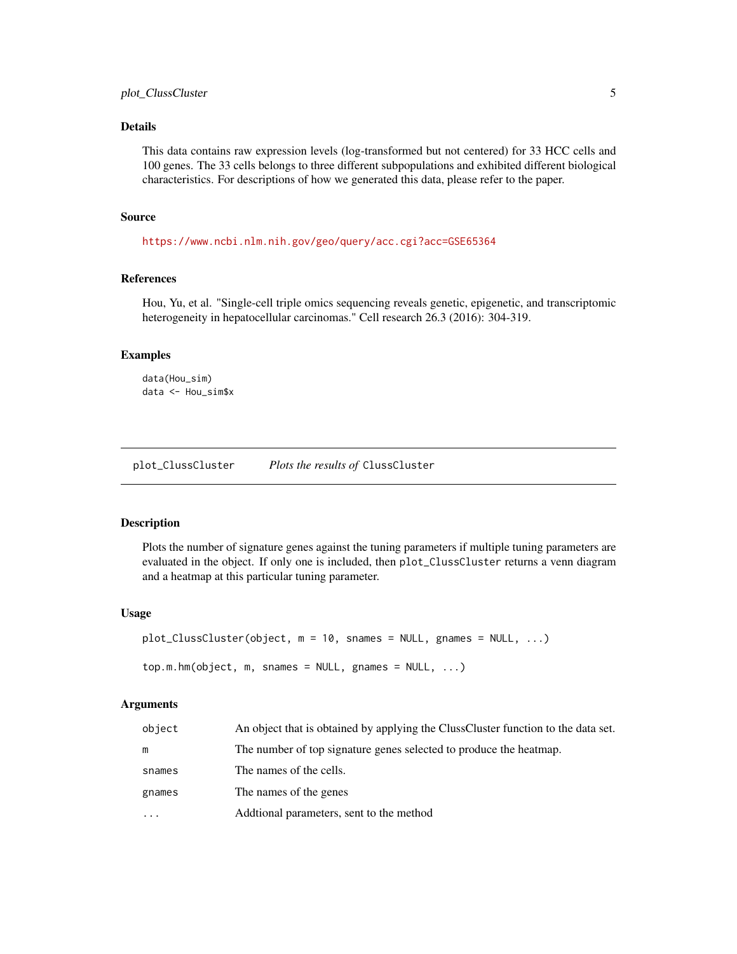#### <span id="page-4-0"></span>Details

This data contains raw expression levels (log-transformed but not centered) for 33 HCC cells and 100 genes. The 33 cells belongs to three different subpopulations and exhibited different biological characteristics. For descriptions of how we generated this data, please refer to the paper.

#### Source

<https://www.ncbi.nlm.nih.gov/geo/query/acc.cgi?acc=GSE65364>

#### References

Hou, Yu, et al. "Single-cell triple omics sequencing reveals genetic, epigenetic, and transcriptomic heterogeneity in hepatocellular carcinomas." Cell research 26.3 (2016): 304-319.

#### Examples

```
data(Hou_sim)
data <- Hou_sim$x
```
plot\_ClussCluster *Plots the results of* ClussCluster

#### Description

Plots the number of signature genes against the tuning parameters if multiple tuning parameters are evaluated in the object. If only one is included, then plot\_ClussCluster returns a venn diagram and a heatmap at this particular tuning parameter.

#### Usage

```
plot_ClussCluster(object, m = 10, snames = NULL, gnames = NULL, ...)
top.m.hm(object, m, snames = NULL, gnames = NULL, ...)
```
#### Arguments

| object    | An object that is obtained by applying the ClussCluster function to the data set. |
|-----------|-----------------------------------------------------------------------------------|
| m         | The number of top signature genes selected to produce the heatmap.                |
| snames    | The names of the cells.                                                           |
| gnames    | The names of the genes                                                            |
| $\ddotsc$ | Additional parameters, sent to the method                                         |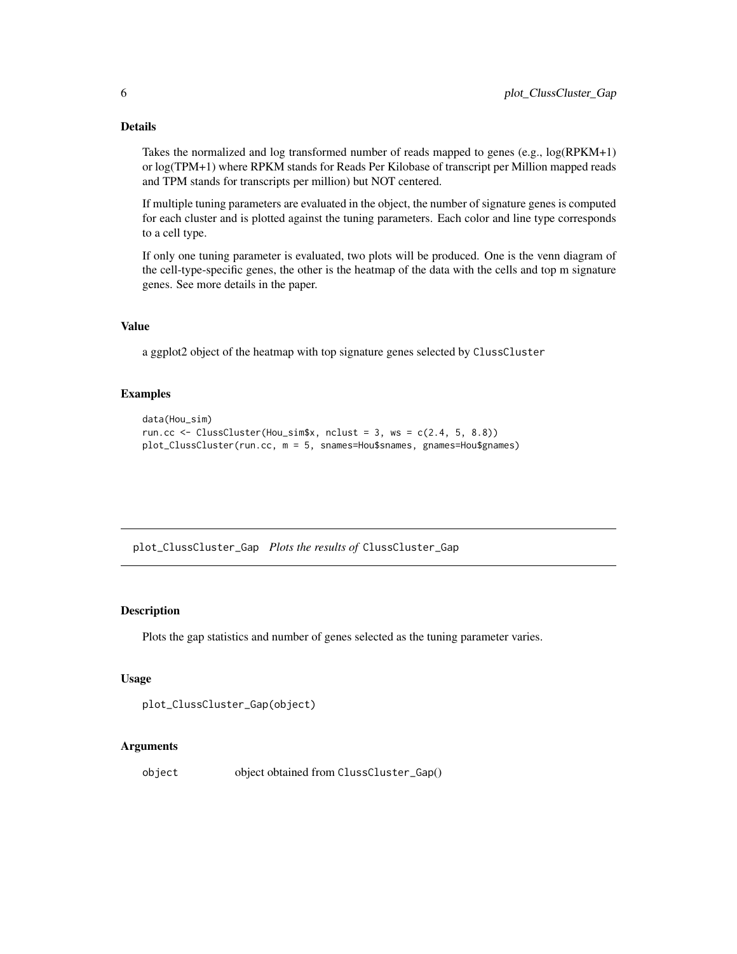#### Details

Takes the normalized and log transformed number of reads mapped to genes (e.g., log(RPKM+1) or log(TPM+1) where RPKM stands for Reads Per Kilobase of transcript per Million mapped reads and TPM stands for transcripts per million) but NOT centered.

If multiple tuning parameters are evaluated in the object, the number of signature genes is computed for each cluster and is plotted against the tuning parameters. Each color and line type corresponds to a cell type.

If only one tuning parameter is evaluated, two plots will be produced. One is the venn diagram of the cell-type-specific genes, the other is the heatmap of the data with the cells and top m signature genes. See more details in the paper.

#### Value

a ggplot2 object of the heatmap with top signature genes selected by ClussCluster

#### Examples

```
data(Hou_sim)
run.cc <- ClussCluster(Hou_sim$x, nclust = 3, ws = c(2.4, 5, 8.8))
plot_ClussCluster(run.cc, m = 5, snames=Hou$snames, gnames=Hou$gnames)
```
plot\_ClussCluster\_Gap *Plots the results of* ClussCluster\_Gap

#### Description

Plots the gap statistics and number of genes selected as the tuning parameter varies.

#### Usage

```
plot_ClussCluster_Gap(object)
```
#### Arguments

object object obtained from ClussCluster\_Gap()

<span id="page-5-0"></span>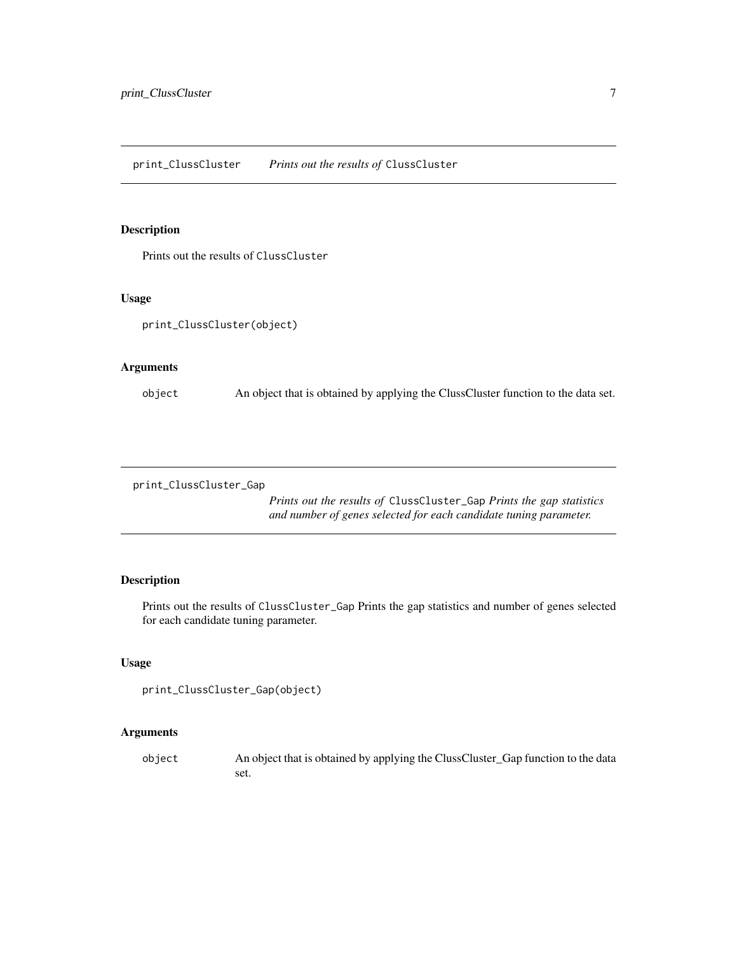<span id="page-6-0"></span>print\_ClussCluster *Prints out the results of* ClussCluster

#### Description

Prints out the results of ClussCluster

#### Usage

print\_ClussCluster(object)

#### Arguments

object An object that is obtained by applying the ClussCluster function to the data set.

print\_ClussCluster\_Gap

*Prints out the results of* ClussCluster\_Gap *Prints the gap statistics and number of genes selected for each candidate tuning parameter.*

#### Description

Prints out the results of ClussCluster\_Gap Prints the gap statistics and number of genes selected for each candidate tuning parameter.

#### Usage

```
print_ClussCluster_Gap(object)
```
#### Arguments

object An object that is obtained by applying the ClussCluster\_Gap function to the data set.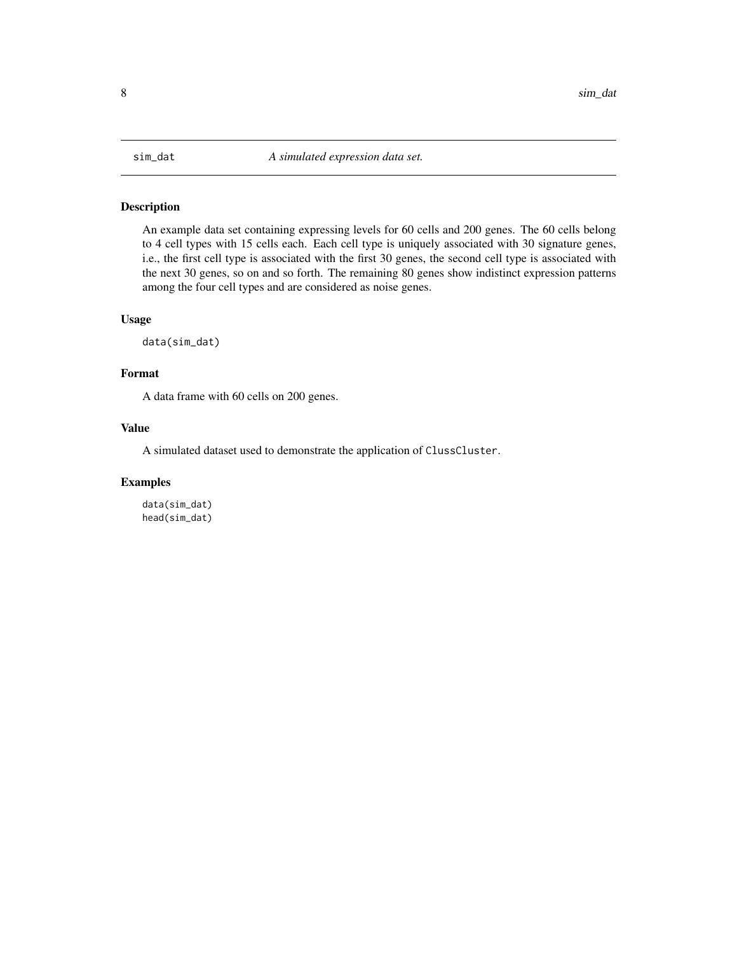<span id="page-7-0"></span>

#### Description

An example data set containing expressing levels for 60 cells and 200 genes. The 60 cells belong to 4 cell types with 15 cells each. Each cell type is uniquely associated with 30 signature genes, i.e., the first cell type is associated with the first 30 genes, the second cell type is associated with the next 30 genes, so on and so forth. The remaining 80 genes show indistinct expression patterns among the four cell types and are considered as noise genes.

#### Usage

data(sim\_dat)

#### Format

A data frame with 60 cells on 200 genes.

#### Value

A simulated dataset used to demonstrate the application of ClussCluster.

#### Examples

data(sim\_dat) head(sim\_dat)